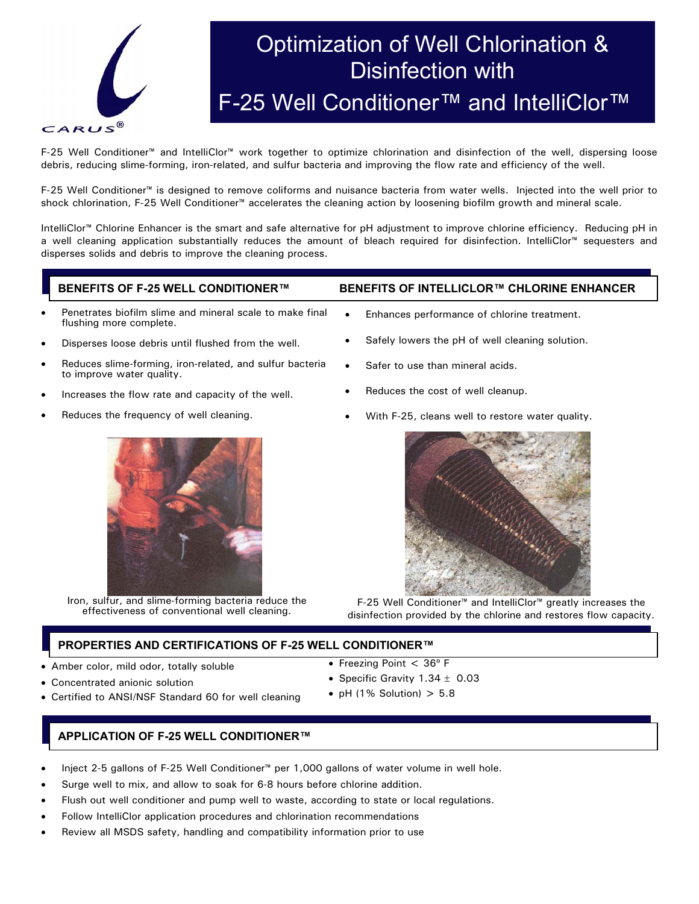

# Optimization of Well Chlorination & Disinfection with F-25 Well Conditioner™ and IntelliClor™

F-25 Well Conditioner™ and IntelliClor™ work together to optimize chlorination and disinfection of the well, dispersing loose debris, reducing slime-forming, iron-related, and sulfur bacteria and improving the flow rate and efficiency of the well.

F-25 Well Conditioner™ is designed to remove coliforms and nuisance bacteria from water wells. Injected into the well prior to shock chlorination, F-25 Well Conditioner<sup>™</sup> accelerates the cleaning action by loosening biofilm growth and mineral scale.

IntelliClor™ Chlorine Enhancer is the smart and safe alternative for pH adjustment to improve chlorine efficiency. Reducing pH in a well cleaning application substantially reduces the amount of bleach required for disinfection. IntelliClor™ sequesters and disperses solids and debris to improve the cleaning process.

- Penetrates biofilm slime and mineral scale to make final flushing more complete.
- Disperses loose debris until flushed from the well.
- Reduces slime-forming, iron-related, and sulfur bacteria to improve water quality.
- Increases the flow rate and capacity of the well.
- Reduces the frequency of well cleaning.
	-

Iron, sulfur, and slime-forming bacteria reduce the effectiveness of conventional well cleaning.

# **BENEFITS OF F-25 WELL CONDITIONER™ BENEFITS OF INTELLICLOR™ CHLORINE ENHANCER**

- Enhances performance of chlorine treatment.
- Safely lowers the pH of well cleaning solution.
- Safer to use than mineral acids.
- Reduces the cost of well cleanup.
- With F-25, cleans well to restore water quality.



F-25 Well Conditioner™ and IntelliClor™ greatly increases the disinfection provided by the chlorine and restores flow capacity.

# **PROPERTIES AND CERTIFICATIONS OF F-25 WELL CONDITIONER™**

- Amber color, mild odor, totally soluble
- Concentrated anionic solution
- Certified to ANSI/NSF Standard 60 for well cleaning
- Freezing Point < 36º F
- Specific Gravity  $1.34 \pm 0.03$
- pH (1% Solution)  $> 5.8$

# **APPLICATION OF F-25 WELL CONDITIONER™**

- Inject 2-5 gallons of F-25 Well Conditioner™ per 1,000 gallons of water volume in well hole.
- Surge well to mix, and allow to soak for 6-8 hours before chlorine addition.
- Flush out well conditioner and pump well to waste, according to state or local regulations.
- Follow IntelliClor application procedures and chlorination recommendations
- Review all MSDS safety, handling and compatibility information prior to use